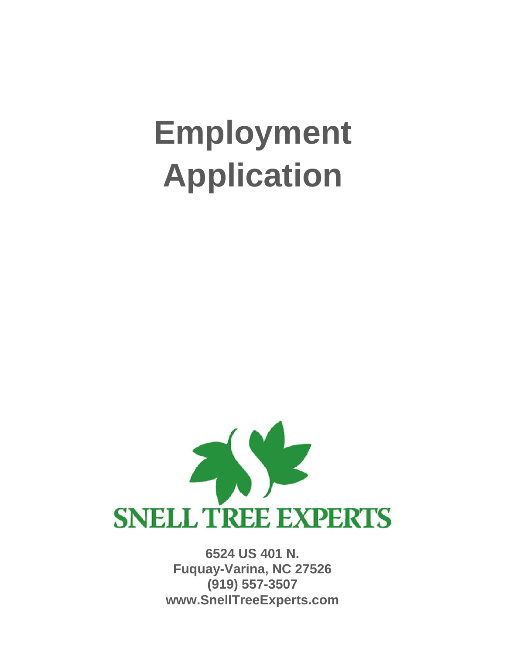## **Employment Application**



**6524 US 401 N. Fuquay-Varina, NC 27526 (919) 557-3507 www.SnellTreeExperts.com**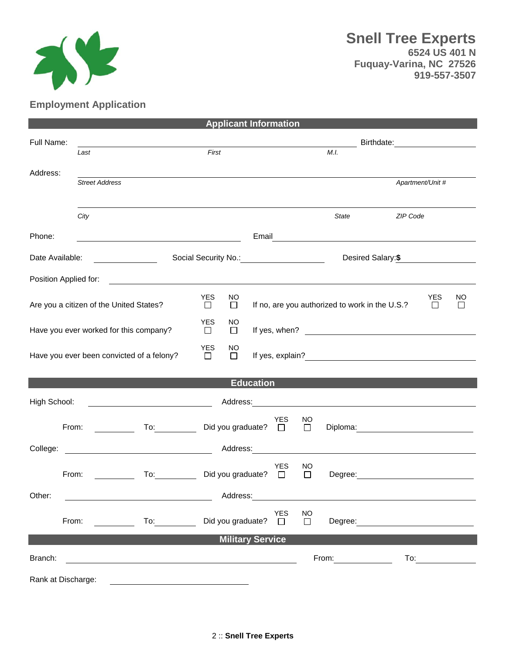

## **Employment Application**

| <b>Applicant Information</b>                                                                                                                                                                                                                                                             |                                                                                                                        |                                                                                                                                                                                                                                                            |                                                                                                                                                                                                                                |                                                                                     |                                                                                                                                                                                                                                      |         |                     |    |
|------------------------------------------------------------------------------------------------------------------------------------------------------------------------------------------------------------------------------------------------------------------------------------------|------------------------------------------------------------------------------------------------------------------------|------------------------------------------------------------------------------------------------------------------------------------------------------------------------------------------------------------------------------------------------------------|--------------------------------------------------------------------------------------------------------------------------------------------------------------------------------------------------------------------------------|-------------------------------------------------------------------------------------|--------------------------------------------------------------------------------------------------------------------------------------------------------------------------------------------------------------------------------------|---------|---------------------|----|
| Full Name:                                                                                                                                                                                                                                                                               |                                                                                                                        |                                                                                                                                                                                                                                                            |                                                                                                                                                                                                                                |                                                                                     |                                                                                                                                                                                                                                      |         |                     |    |
|                                                                                                                                                                                                                                                                                          | Last                                                                                                                   | First                                                                                                                                                                                                                                                      |                                                                                                                                                                                                                                |                                                                                     | M.I.                                                                                                                                                                                                                                 |         |                     |    |
| Address:                                                                                                                                                                                                                                                                                 |                                                                                                                        |                                                                                                                                                                                                                                                            |                                                                                                                                                                                                                                |                                                                                     |                                                                                                                                                                                                                                      |         |                     |    |
|                                                                                                                                                                                                                                                                                          | <b>Street Address</b>                                                                                                  |                                                                                                                                                                                                                                                            |                                                                                                                                                                                                                                |                                                                                     |                                                                                                                                                                                                                                      |         | Apartment/Unit #    |    |
|                                                                                                                                                                                                                                                                                          |                                                                                                                        |                                                                                                                                                                                                                                                            |                                                                                                                                                                                                                                |                                                                                     |                                                                                                                                                                                                                                      |         |                     |    |
|                                                                                                                                                                                                                                                                                          | City                                                                                                                   |                                                                                                                                                                                                                                                            |                                                                                                                                                                                                                                |                                                                                     | <b>State</b>                                                                                                                                                                                                                         |         | ZIP Code            |    |
|                                                                                                                                                                                                                                                                                          |                                                                                                                        |                                                                                                                                                                                                                                                            |                                                                                                                                                                                                                                |                                                                                     |                                                                                                                                                                                                                                      |         |                     |    |
| Phone:                                                                                                                                                                                                                                                                                   | <u> 1989 - Johann Stoff, deutscher Stoffen und der Stoffen und der Stoffen und der Stoffen und der Stoffen und der</u> |                                                                                                                                                                                                                                                            |                                                                                                                                                                                                                                |                                                                                     | Email <b>Exercise Contract Contract Contract Contract Contract Contract Contract Contract Contract Contract Contract Contract Contract Contract Contract Contract Contract Contract Contract Contract Contract Contract Contract</b> |         |                     |    |
| Date Available:<br><u> Louis Communication (Communication</u>                                                                                                                                                                                                                            |                                                                                                                        |                                                                                                                                                                                                                                                            |                                                                                                                                                                                                                                | Social Security No.: <u>Contained and Social Security No.:</u><br>Desired Salary:\$ |                                                                                                                                                                                                                                      |         |                     |    |
| Position Applied for:                                                                                                                                                                                                                                                                    |                                                                                                                        | <u> 1989 - Jan Stein Stein Stein Stein Stein Stein Stein Stein Stein Stein Stein Stein Stein Stein Stein Stein S</u>                                                                                                                                       |                                                                                                                                                                                                                                |                                                                                     |                                                                                                                                                                                                                                      |         |                     |    |
|                                                                                                                                                                                                                                                                                          |                                                                                                                        | <b>YES</b><br>NO.                                                                                                                                                                                                                                          |                                                                                                                                                                                                                                |                                                                                     |                                                                                                                                                                                                                                      |         | <b>YES</b>          | NO |
| Are you a citizen of the United States?<br>$\Box$<br>$\Box$                                                                                                                                                                                                                              |                                                                                                                        |                                                                                                                                                                                                                                                            | If no, are you authorized to work in the U.S.?<br>$\Box$                                                                                                                                                                       |                                                                                     |                                                                                                                                                                                                                                      | $\perp$ |                     |    |
| <b>YES</b><br>NO.<br>Have you ever worked for this company?<br>$\Box$<br>$\Box$                                                                                                                                                                                                          |                                                                                                                        |                                                                                                                                                                                                                                                            |                                                                                                                                                                                                                                |                                                                                     |                                                                                                                                                                                                                                      |         |                     |    |
|                                                                                                                                                                                                                                                                                          |                                                                                                                        |                                                                                                                                                                                                                                                            |                                                                                                                                                                                                                                |                                                                                     |                                                                                                                                                                                                                                      |         |                     |    |
|                                                                                                                                                                                                                                                                                          | Have you ever been convicted of a felony?                                                                              | <b>YES</b><br>NO.<br>$\Box$<br>$\Box$                                                                                                                                                                                                                      |                                                                                                                                                                                                                                |                                                                                     |                                                                                                                                                                                                                                      |         |                     |    |
|                                                                                                                                                                                                                                                                                          |                                                                                                                        |                                                                                                                                                                                                                                                            |                                                                                                                                                                                                                                |                                                                                     |                                                                                                                                                                                                                                      |         |                     |    |
| <b>Education</b>                                                                                                                                                                                                                                                                         |                                                                                                                        |                                                                                                                                                                                                                                                            |                                                                                                                                                                                                                                |                                                                                     |                                                                                                                                                                                                                                      |         |                     |    |
| High School:<br>Address: Note and the second contract of the second contract of the second contract of the second contract of the second contract of the second contract of the second contract of the second contract of the second contract<br><u> 1989 - Johann Barbara, martin a</u> |                                                                                                                        |                                                                                                                                                                                                                                                            |                                                                                                                                                                                                                                |                                                                                     |                                                                                                                                                                                                                                      |         |                     |    |
|                                                                                                                                                                                                                                                                                          |                                                                                                                        |                                                                                                                                                                                                                                                            | YES                                                                                                                                                                                                                            | NO                                                                                  |                                                                                                                                                                                                                                      |         |                     |    |
|                                                                                                                                                                                                                                                                                          | From:<br>$\overline{a}$ To:                                                                                            | Did you graduate? $\square$                                                                                                                                                                                                                                |                                                                                                                                                                                                                                | $\Box$                                                                              |                                                                                                                                                                                                                                      |         |                     |    |
| College:                                                                                                                                                                                                                                                                                 | <u> 1980 - Johann Barbara, martin a</u>                                                                                |                                                                                                                                                                                                                                                            | Address: Andreas and the set of the set of the set of the set of the set of the set of the set of the set of the set of the set of the set of the set of the set of the set of the set of the set of the set of the set of the |                                                                                     | <u> 1989 - Johann Harry Harry Harry Harry Harry Harry Harry Harry Harry Harry Harry Harry Harry Harry Harry Harry</u>                                                                                                                |         |                     |    |
|                                                                                                                                                                                                                                                                                          |                                                                                                                        |                                                                                                                                                                                                                                                            | <b>YES</b>                                                                                                                                                                                                                     | NO                                                                                  |                                                                                                                                                                                                                                      |         |                     |    |
| From:                                                                                                                                                                                                                                                                                    |                                                                                                                        | To: the contract of the contract of the contract of the contract of the contract of the contract of the contract of the contract of the contract of the contract of the contract of the contract of the contract of the contra<br>Did you graduate? $\Box$ |                                                                                                                                                                                                                                | $\Box$                                                                              |                                                                                                                                                                                                                                      |         |                     |    |
| Other:                                                                                                                                                                                                                                                                                   |                                                                                                                        | Address:                                                                                                                                                                                                                                                   |                                                                                                                                                                                                                                |                                                                                     |                                                                                                                                                                                                                                      |         |                     |    |
|                                                                                                                                                                                                                                                                                          |                                                                                                                        |                                                                                                                                                                                                                                                            | <b>YES</b>                                                                                                                                                                                                                     | <b>NO</b>                                                                           |                                                                                                                                                                                                                                      |         |                     |    |
|                                                                                                                                                                                                                                                                                          | From:<br>$\mathsf{To:}\_\_\_\_\_\_\_\_\$                                                                               | Did you graduate? $\square$                                                                                                                                                                                                                                |                                                                                                                                                                                                                                | $\Box$                                                                              |                                                                                                                                                                                                                                      |         |                     |    |
| <b>Military Service</b>                                                                                                                                                                                                                                                                  |                                                                                                                        |                                                                                                                                                                                                                                                            |                                                                                                                                                                                                                                |                                                                                     |                                                                                                                                                                                                                                      |         |                     |    |
| Branch:                                                                                                                                                                                                                                                                                  | <u> 1980 - Johann Barn, fransk politik (f. 1980)</u>                                                                   |                                                                                                                                                                                                                                                            |                                                                                                                                                                                                                                |                                                                                     |                                                                                                                                                                                                                                      |         | To: $\qquad \qquad$ |    |
| Rank at Discharge:                                                                                                                                                                                                                                                                       |                                                                                                                        |                                                                                                                                                                                                                                                            |                                                                                                                                                                                                                                |                                                                                     |                                                                                                                                                                                                                                      |         |                     |    |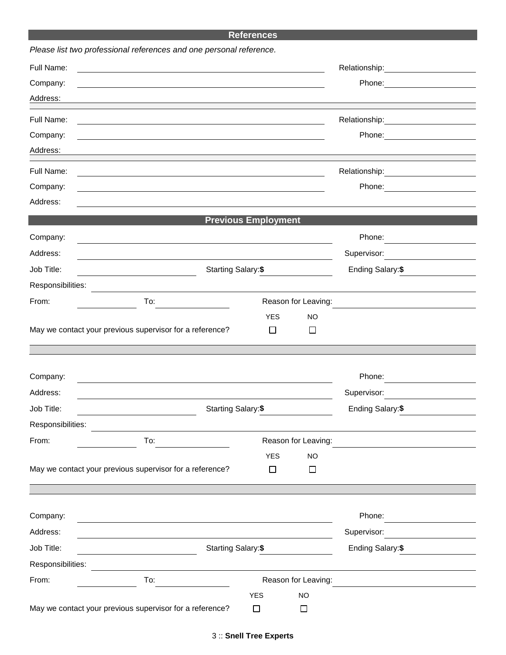## **References**

|                   | Please list two professional references and one personal reference. |                            |                     |                                                                                                                                                                                                                                |
|-------------------|---------------------------------------------------------------------|----------------------------|---------------------|--------------------------------------------------------------------------------------------------------------------------------------------------------------------------------------------------------------------------------|
| Full Name:        |                                                                     |                            |                     | Relationship: Network of the state of the state of the state of the state of the state of the state of the state of the state of the state of the state of the state of the state of the state of the state of the state of th |
| Company:          |                                                                     |                            |                     |                                                                                                                                                                                                                                |
| Address:          |                                                                     |                            |                     |                                                                                                                                                                                                                                |
| Full Name:        |                                                                     |                            |                     |                                                                                                                                                                                                                                |
| Company:          |                                                                     |                            |                     | Phone: The contract of the contract of the contract of the contract of the contract of the contract of the contract of the contract of the contract of the contract of the contract of the contract of the contract of the con |
| Address:          |                                                                     |                            |                     |                                                                                                                                                                                                                                |
| Full Name:        |                                                                     |                            |                     | Relationship: example and all the set of the set of the set of the set of the set of the set of the set of the                                                                                                                 |
| Company:          |                                                                     |                            |                     | Phone: the contract of the contract of the contract of the contract of the contract of the contract of the contract of the contract of the contract of the contract of the contract of the contract of the contract of the con |
| Address:          |                                                                     |                            |                     |                                                                                                                                                                                                                                |
|                   |                                                                     | <b>Previous Employment</b> |                     |                                                                                                                                                                                                                                |
| Company:          |                                                                     |                            |                     | Phone:                                                                                                                                                                                                                         |
| Address:          |                                                                     |                            |                     | Supervisor:                                                                                                                                                                                                                    |
| Job Title:        | Starting Salary:\$                                                  |                            |                     | Ending Salary: \$                                                                                                                                                                                                              |
| Responsibilities: |                                                                     |                            |                     |                                                                                                                                                                                                                                |
| From:             | To:                                                                 |                            | Reason for Leaving: |                                                                                                                                                                                                                                |
|                   |                                                                     | <b>YES</b>                 | <b>NO</b>           |                                                                                                                                                                                                                                |
|                   | May we contact your previous supervisor for a reference?            | □                          | $\Box$              |                                                                                                                                                                                                                                |
|                   |                                                                     |                            |                     |                                                                                                                                                                                                                                |
| Company:          |                                                                     |                            |                     | Phone:                                                                                                                                                                                                                         |
| Address:          |                                                                     |                            |                     | Supervisor:                                                                                                                                                                                                                    |
| Job Title:        | Starting Salary: \$                                                 |                            |                     | Ending Salary: \$                                                                                                                                                                                                              |
| Responsibilities: |                                                                     |                            |                     |                                                                                                                                                                                                                                |
| From:             | To:                                                                 | Reason for Leaving:        |                     |                                                                                                                                                                                                                                |
|                   |                                                                     | <b>YES</b>                 | <b>NO</b>           |                                                                                                                                                                                                                                |
|                   | May we contact your previous supervisor for a reference?            | $\Box$                     | $\Box$              |                                                                                                                                                                                                                                |
|                   |                                                                     |                            |                     |                                                                                                                                                                                                                                |
|                   |                                                                     |                            |                     |                                                                                                                                                                                                                                |
| Company:          |                                                                     |                            |                     | Phone:                                                                                                                                                                                                                         |
| Address:          |                                                                     |                            |                     | Supervisor:                                                                                                                                                                                                                    |
| Job Title:        | Starting Salary: \$                                                 |                            |                     | Ending Salary: \$                                                                                                                                                                                                              |
| Responsibilities: |                                                                     |                            |                     |                                                                                                                                                                                                                                |
| From:             | To:                                                                 | Reason for Leaving:        |                     |                                                                                                                                                                                                                                |
|                   |                                                                     | <b>YES</b>                 | <b>NO</b>           |                                                                                                                                                                                                                                |
|                   | May we contact your previous supervisor for a reference?            | □                          | □                   |                                                                                                                                                                                                                                |